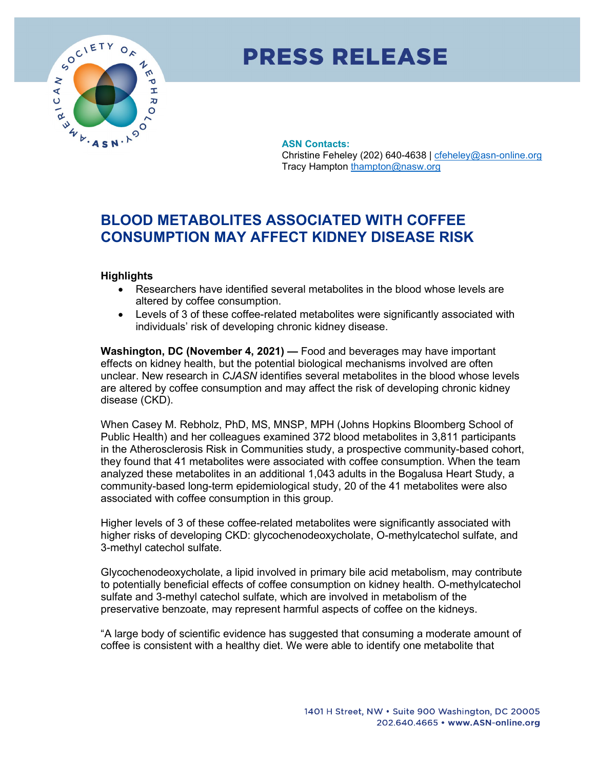

## **PRESS RELEASE**

**ASN Contacts:** Christine Feheley (202) 640-4638 | [cfeheley@asn-online.org](mailto:cfeheley@asn-online.org) Tracy Hampton [thampton@nasw.org](mailto:thampton@nasw.org)

## **BLOOD METABOLITES ASSOCIATED WITH COFFEE CONSUMPTION MAY AFFECT KIDNEY DISEASE RISK**

## **Highlights**

- Researchers have identified several metabolites in the blood whose levels are altered by coffee consumption.
- Levels of 3 of these coffee-related metabolites were significantly associated with individuals' risk of developing chronic kidney disease.

**Washington, DC (November 4, 2021) —** Food and beverages may have important effects on kidney health, but the potential biological mechanisms involved are often unclear. New research in *CJASN* identifies several metabolites in the blood whose levels are altered by coffee consumption and may affect the risk of developing chronic kidney disease (CKD).

When Casey M. Rebholz, PhD, MS, MNSP, MPH (Johns Hopkins Bloomberg School of Public Health) and her colleagues examined 372 blood metabolites in 3,811 participants in the Atherosclerosis Risk in Communities study, a prospective community-based cohort, they found that 41 metabolites were associated with coffee consumption. When the team analyzed these metabolites in an additional 1,043 adults in the Bogalusa Heart Study, a community-based long-term epidemiological study, 20 of the 41 metabolites were also associated with coffee consumption in this group.

Higher levels of 3 of these coffee-related metabolites were significantly associated with higher risks of developing CKD: glycochenodeoxycholate, O-methylcatechol sulfate, and 3-methyl catechol sulfate.

Glycochenodeoxycholate, a lipid involved in primary bile acid metabolism, may contribute to potentially beneficial effects of coffee consumption on kidney health. O-methylcatechol sulfate and 3-methyl catechol sulfate, which are involved in metabolism of the preservative benzoate, may represent harmful aspects of coffee on the kidneys.

"A large body of scientific evidence has suggested that consuming a moderate amount of coffee is consistent with a healthy diet. We were able to identify one metabolite that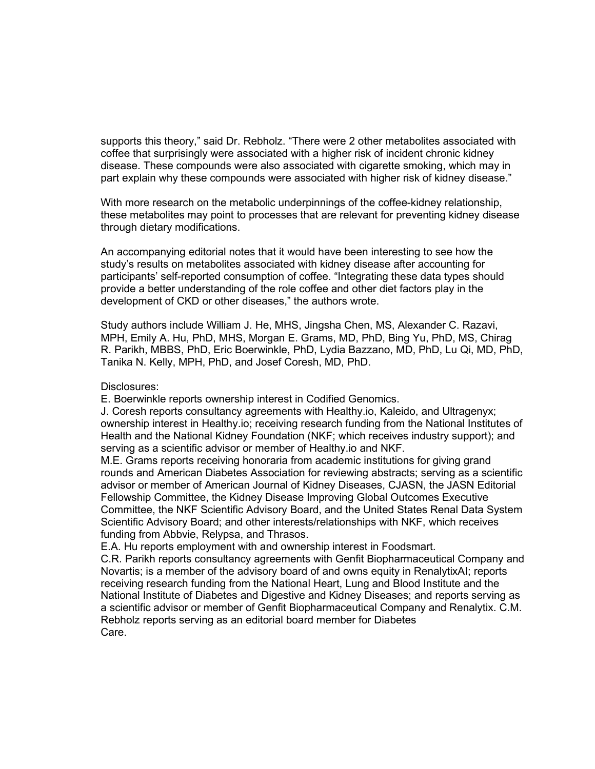supports this theory," said Dr. Rebholz. "There were 2 other metabolites associated with coffee that surprisingly were associated with a higher risk of incident chronic kidney disease. These compounds were also associated with cigarette smoking, which may in part explain why these compounds were associated with higher risk of kidney disease."

With more research on the metabolic underpinnings of the coffee-kidney relationship, these metabolites may point to processes that are relevant for preventing kidney disease through dietary modifications.

An accompanying editorial notes that it would have been interesting to see how the study's results on metabolites associated with kidney disease after accounting for participants' self-reported consumption of coffee. "Integrating these data types should provide a better understanding of the role coffee and other diet factors play in the development of CKD or other diseases," the authors wrote.

Study authors include William J. He, MHS, Jingsha Chen, MS, Alexander C. Razavi, MPH, Emily A. Hu, PhD, MHS, Morgan E. Grams, MD, PhD, Bing Yu, PhD, MS, Chirag R. Parikh, MBBS, PhD, Eric Boerwinkle, PhD, Lydia Bazzano, MD, PhD, Lu Qi, MD, PhD, Tanika N. Kelly, MPH, PhD, and Josef Coresh, MD, PhD.

Disclosures:

E. Boerwinkle reports ownership interest in Codified Genomics.

J. Coresh reports consultancy agreements with Healthy.io, Kaleido, and Ultragenyx; ownership interest in Healthy.io; receiving research funding from the National Institutes of Health and the National Kidney Foundation (NKF; which receives industry support); and serving as a scientific advisor or member of Healthy.io and NKF.

M.E. Grams reports receiving honoraria from academic institutions for giving grand rounds and American Diabetes Association for reviewing abstracts; serving as a scientific advisor or member of American Journal of Kidney Diseases, CJASN, the JASN Editorial Fellowship Committee, the Kidney Disease Improving Global Outcomes Executive Committee, the NKF Scientific Advisory Board, and the United States Renal Data System Scientific Advisory Board; and other interests/relationships with NKF, which receives funding from Abbvie, Relypsa, and Thrasos.

E.A. Hu reports employment with and ownership interest in Foodsmart.

C.R. Parikh reports consultancy agreements with Genfit Biopharmaceutical Company and Novartis; is a member of the advisory board of and owns equity in RenalytixAI; reports receiving research funding from the National Heart, Lung and Blood Institute and the National Institute of Diabetes and Digestive and Kidney Diseases; and reports serving as a scientific advisor or member of Genfit Biopharmaceutical Company and Renalytix. C.M. Rebholz reports serving as an editorial board member for Diabetes Care.